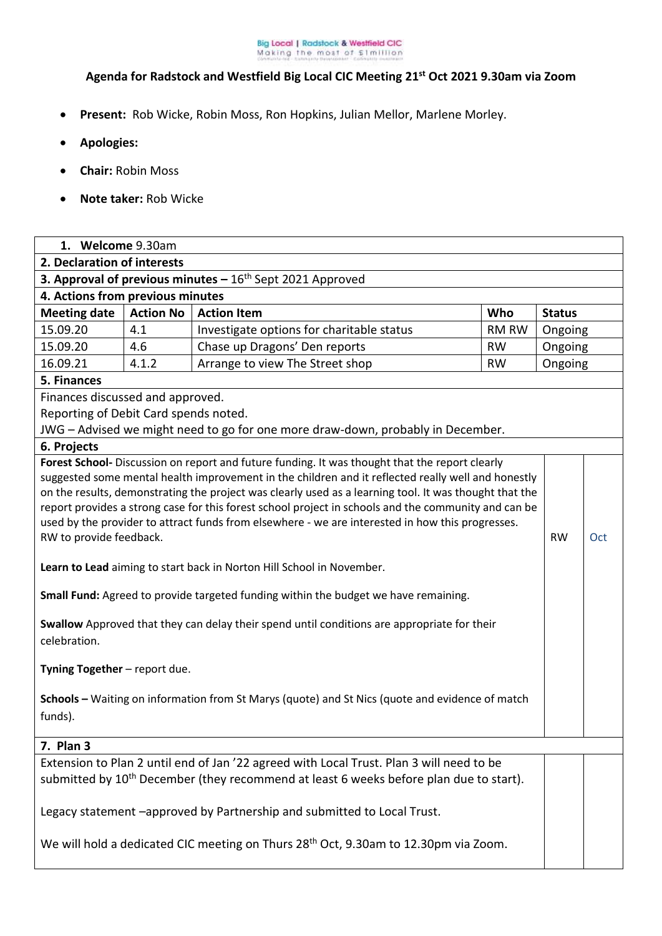

## **Agenda for Radstock and Westfield Big Local CIC Meeting 21st Oct 2021 9.30am via Zoom**

- **Present:** Rob Wicke, Robin Moss, Ron Hopkins, Julian Mellor, Marlene Morley.
- **Apologies:**
- **Chair:** Robin Moss
- **Note taker:** Rob Wicke

| 1. Welcome 9.30am                                                                                                                                                                                                                                                                                                                                                                                                                                                                                                                                                                                                                                                                                                                                                                                                                                                                                                                                                                   |                  |                                                                                                                                                                                                |           |               |     |  |  |
|-------------------------------------------------------------------------------------------------------------------------------------------------------------------------------------------------------------------------------------------------------------------------------------------------------------------------------------------------------------------------------------------------------------------------------------------------------------------------------------------------------------------------------------------------------------------------------------------------------------------------------------------------------------------------------------------------------------------------------------------------------------------------------------------------------------------------------------------------------------------------------------------------------------------------------------------------------------------------------------|------------------|------------------------------------------------------------------------------------------------------------------------------------------------------------------------------------------------|-----------|---------------|-----|--|--|
| 2. Declaration of interests                                                                                                                                                                                                                                                                                                                                                                                                                                                                                                                                                                                                                                                                                                                                                                                                                                                                                                                                                         |                  |                                                                                                                                                                                                |           |               |     |  |  |
| <b>3. Approval of previous minutes - <math>16th</math> Sept 2021 Approved</b>                                                                                                                                                                                                                                                                                                                                                                                                                                                                                                                                                                                                                                                                                                                                                                                                                                                                                                       |                  |                                                                                                                                                                                                |           |               |     |  |  |
| 4. Actions from previous minutes                                                                                                                                                                                                                                                                                                                                                                                                                                                                                                                                                                                                                                                                                                                                                                                                                                                                                                                                                    |                  |                                                                                                                                                                                                |           |               |     |  |  |
| <b>Meeting date</b>                                                                                                                                                                                                                                                                                                                                                                                                                                                                                                                                                                                                                                                                                                                                                                                                                                                                                                                                                                 | <b>Action No</b> | <b>Action Item</b>                                                                                                                                                                             | Who       | <b>Status</b> |     |  |  |
| 15.09.20                                                                                                                                                                                                                                                                                                                                                                                                                                                                                                                                                                                                                                                                                                                                                                                                                                                                                                                                                                            | 4.1              | Investigate options for charitable status                                                                                                                                                      | RM RW     | Ongoing       |     |  |  |
| 15.09.20                                                                                                                                                                                                                                                                                                                                                                                                                                                                                                                                                                                                                                                                                                                                                                                                                                                                                                                                                                            | 4.6              | Chase up Dragons' Den reports                                                                                                                                                                  | <b>RW</b> | Ongoing       |     |  |  |
| 16.09.21                                                                                                                                                                                                                                                                                                                                                                                                                                                                                                                                                                                                                                                                                                                                                                                                                                                                                                                                                                            | 4.1.2            | Arrange to view The Street shop                                                                                                                                                                | <b>RW</b> | Ongoing       |     |  |  |
| 5. Finances                                                                                                                                                                                                                                                                                                                                                                                                                                                                                                                                                                                                                                                                                                                                                                                                                                                                                                                                                                         |                  |                                                                                                                                                                                                |           |               |     |  |  |
| Finances discussed and approved.                                                                                                                                                                                                                                                                                                                                                                                                                                                                                                                                                                                                                                                                                                                                                                                                                                                                                                                                                    |                  |                                                                                                                                                                                                |           |               |     |  |  |
| Reporting of Debit Card spends noted.                                                                                                                                                                                                                                                                                                                                                                                                                                                                                                                                                                                                                                                                                                                                                                                                                                                                                                                                               |                  |                                                                                                                                                                                                |           |               |     |  |  |
| JWG - Advised we might need to go for one more draw-down, probably in December.                                                                                                                                                                                                                                                                                                                                                                                                                                                                                                                                                                                                                                                                                                                                                                                                                                                                                                     |                  |                                                                                                                                                                                                |           |               |     |  |  |
| 6. Projects                                                                                                                                                                                                                                                                                                                                                                                                                                                                                                                                                                                                                                                                                                                                                                                                                                                                                                                                                                         |                  |                                                                                                                                                                                                |           |               |     |  |  |
| Forest School- Discussion on report and future funding. It was thought that the report clearly<br>suggested some mental health improvement in the children and it reflected really well and honestly<br>on the results, demonstrating the project was clearly used as a learning tool. It was thought that the<br>report provides a strong case for this forest school project in schools and the community and can be<br>used by the provider to attract funds from elsewhere - we are interested in how this progresses.<br>RW to provide feedback.<br>Learn to Lead aiming to start back in Norton Hill School in November.<br>Small Fund: Agreed to provide targeted funding within the budget we have remaining.<br>Swallow Approved that they can delay their spend until conditions are appropriate for their<br>celebration.<br>Tyning Together - report due.<br>Schools - Waiting on information from St Marys (quote) and St Nics (quote and evidence of match<br>funds). |                  |                                                                                                                                                                                                |           |               | Oct |  |  |
| 7. Plan 3                                                                                                                                                                                                                                                                                                                                                                                                                                                                                                                                                                                                                                                                                                                                                                                                                                                                                                                                                                           |                  |                                                                                                                                                                                                |           |               |     |  |  |
|                                                                                                                                                                                                                                                                                                                                                                                                                                                                                                                                                                                                                                                                                                                                                                                                                                                                                                                                                                                     |                  | Extension to Plan 2 until end of Jan '22 agreed with Local Trust. Plan 3 will need to be<br>submitted by 10 <sup>th</sup> December (they recommend at least 6 weeks before plan due to start). |           |               |     |  |  |
| Legacy statement -approved by Partnership and submitted to Local Trust.                                                                                                                                                                                                                                                                                                                                                                                                                                                                                                                                                                                                                                                                                                                                                                                                                                                                                                             |                  |                                                                                                                                                                                                |           |               |     |  |  |
| We will hold a dedicated CIC meeting on Thurs 28 <sup>th</sup> Oct, 9.30am to 12.30pm via Zoom.                                                                                                                                                                                                                                                                                                                                                                                                                                                                                                                                                                                                                                                                                                                                                                                                                                                                                     |                  |                                                                                                                                                                                                |           |               |     |  |  |